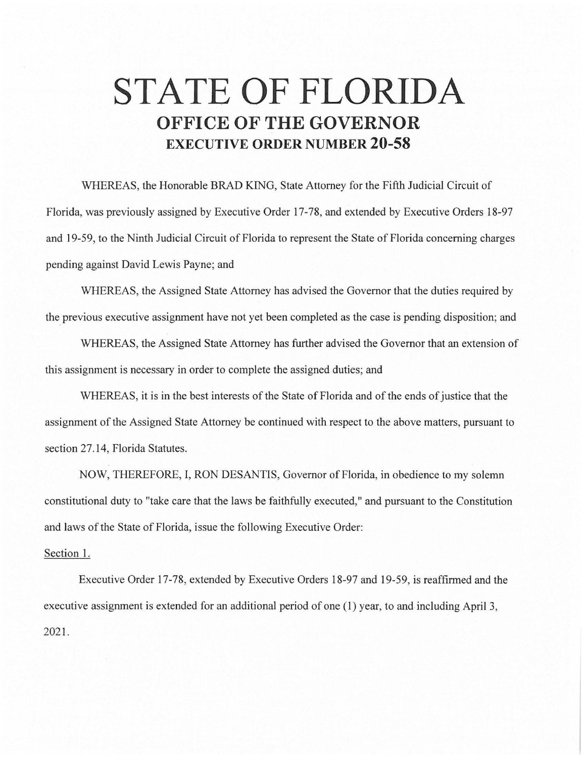## **STATE OF FLORIDA OFFICE OF THE GOVERNOR EXECUTIVE ORDER NUMBER 20-58**

WHEREAS, the Honorable BRAD KING, State Attorney for the Fifth Judicial Circuit of Florida, was previously assigned by Executive Order 17-78, and extended by Executive Orders 18-97 and 19-59, to the Ninth Judicial Circuit of Florida to represent the State of Florida concerning charges pending against David Lewis Payne; and

WHEREAS, the Assigned State Attorney has advised the Governor that the duties required by the previous executive assignment have not yet been completed as the case is pending disposition; and

WHEREAS, the Assigned State Attorney has further advised the Governor that an extension of this assignment is necessary in order to complete the assigned duties; and

WHEREAS, it is in the best interests of the State of Florida and of the ends of justice that the assignment of the Assigned State Attorney be continued with respect to the above matters, pursuant to section 27.14, Florida Statutes.

NOW, THEREFORE, I, RON DESANTIS, Governor of Florida, in obedience to my solemn constitutional duty to "take care that the laws be faithfully executed," and pursuant to the Constitution and laws of the State of Florida, issue the following Executive Order:

## Section 1.

Executive Order 17-78, extended by Executive Orders 18-97 and 19-59, is reaffirmed and the executive assignment is extended for an additional period of one (1) year, to and including April 3, 2021.